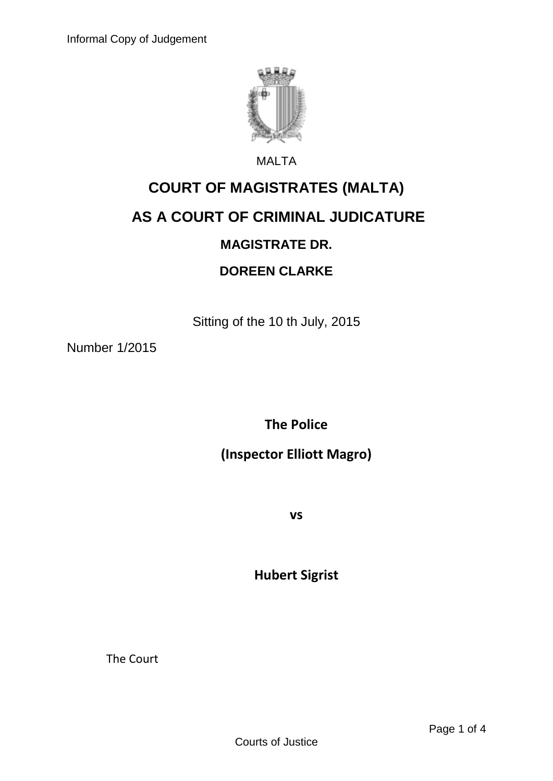

#### MALTA

# **COURT OF MAGISTRATES (MALTA)**

## **AS A COURT OF CRIMINAL JUDICATURE**

#### **MAGISTRATE DR.**

#### **DOREEN CLARKE**

Sitting of the 10 th July, 2015

Number 1/2015

**The Police**

**(Inspector Elliott Magro)**

**vs**

**Hubert Sigrist**

The Court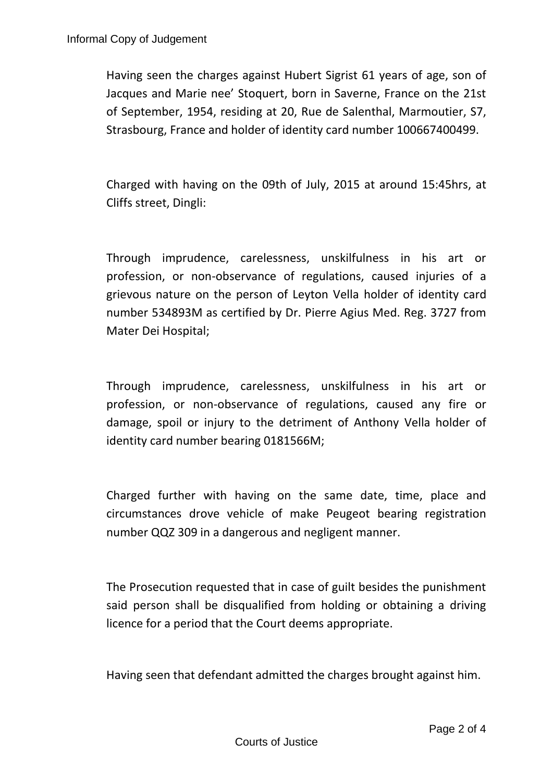Having seen the charges against Hubert Sigrist 61 years of age, son of Jacques and Marie nee' Stoquert, born in Saverne, France on the 21st of September, 1954, residing at 20, Rue de Salenthal, Marmoutier, S7, Strasbourg, France and holder of identity card number 100667400499.

Charged with having on the 09th of July, 2015 at around 15:45hrs, at Cliffs street, Dingli:

Through imprudence, carelessness, unskilfulness in his art or profession, or non-observance of regulations, caused injuries of a grievous nature on the person of Leyton Vella holder of identity card number 534893M as certified by Dr. Pierre Agius Med. Reg. 3727 from Mater Dei Hospital;

Through imprudence, carelessness, unskilfulness in his art or profession, or non-observance of regulations, caused any fire or damage, spoil or injury to the detriment of Anthony Vella holder of identity card number bearing 0181566M;

Charged further with having on the same date, time, place and circumstances drove vehicle of make Peugeot bearing registration number QQZ 309 in a dangerous and negligent manner.

The Prosecution requested that in case of guilt besides the punishment said person shall be disqualified from holding or obtaining a driving licence for a period that the Court deems appropriate.

Having seen that defendant admitted the charges brought against him.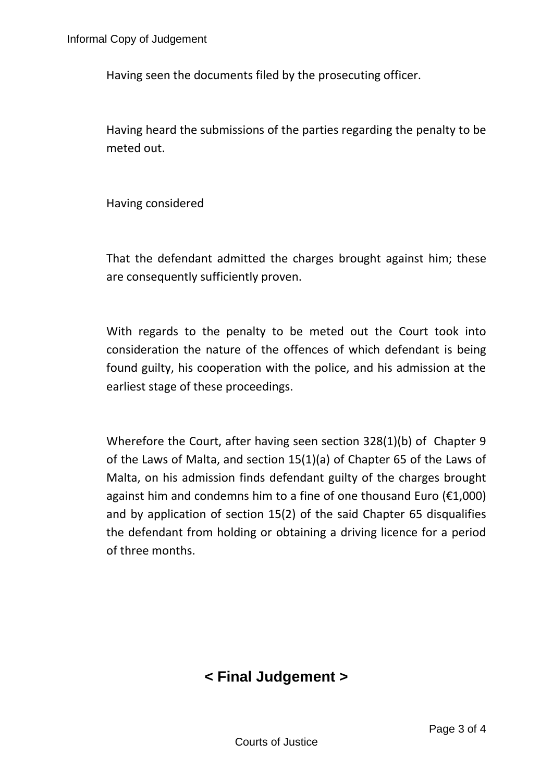Having seen the documents filed by the prosecuting officer.

Having heard the submissions of the parties regarding the penalty to be meted out.

Having considered

That the defendant admitted the charges brought against him; these are consequently sufficiently proven.

With regards to the penalty to be meted out the Court took into consideration the nature of the offences of which defendant is being found guilty, his cooperation with the police, and his admission at the earliest stage of these proceedings.

Wherefore the Court, after having seen section 328(1)(b) of Chapter 9 of the Laws of Malta, and section 15(1)(a) of Chapter 65 of the Laws of Malta, on his admission finds defendant guilty of the charges brought against him and condemns him to a fine of one thousand Euro ( $\epsilon$ 1,000) and by application of section 15(2) of the said Chapter 65 disqualifies the defendant from holding or obtaining a driving licence for a period of three months.

### **< Final Judgement >**